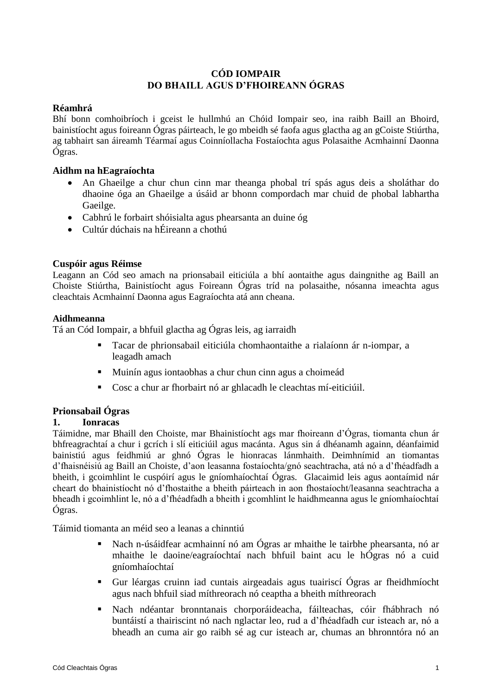# **CÓD IOMPAIR DO BHAILL AGUS D'FHOIREANN ÓGRAS**

### **Réamhrá**

Bhí bonn comhoibríoch i gceist le hullmhú an Chóid Iompair seo, ina raibh Baill an Bhoird, bainistíocht agus foireann Ógras páirteach, le go mbeidh sé faofa agus glactha ag an gCoiste Stiúrtha, ag tabhairt san áireamh Téarmaí agus Coinníollacha Fostaíochta agus Polasaithe Acmhainní Daonna Ógras.

### **Aidhm na hEagraíochta**

- An Ghaeilge a chur chun cinn mar theanga phobal trí spás agus deis a sholáthar do dhaoine óga an Ghaeilge a úsáid ar bhonn compordach mar chuid de phobal labhartha Gaeilge.
- Cabhrú le forbairt shóisialta agus phearsanta an duine óg
- Cultúr dúchais na hÉireann a chothú

## **Cuspóir agus Réimse**

Leagann an Cód seo amach na prionsabail eiticiúla a bhí aontaithe agus daingnithe ag Baill an Choiste Stiúrtha, Bainistíocht agus Foireann Ógras tríd na polasaithe, nósanna imeachta agus cleachtais Acmhainní Daonna agus Eagraíochta atá ann cheana.

### **Aidhmeanna**

Tá an Cód Iompair, a bhfuil glactha ag Ógras leis, ag iarraidh

- Tacar de phrionsabail eiticiúla chomhaontaithe a rialaíonn ár n-iompar, a leagadh amach
- Muinín agus iontaobhas a chur chun cinn agus a choimeád
- Cosc a chur ar fhorbairt nó ar ghlacadh le cleachtas mí-eiticiúil.

# **Prionsabail Ógras**

### **1. Ionracas**

Táimidne, mar Bhaill den Choiste, mar Bhainistíocht ags mar fhoireann d'Ógras, tiomanta chun ár bhfreagrachtaí a chur i gcrích i slí eiticiúil agus macánta. Agus sin á dhéanamh againn, déanfaimid bainistiú agus feidhmiú ar ghnó Ógras le hionracas lánmhaith. Deimhnímid an tiomantas d'fhaisnéisiú ag Baill an Choiste, d'aon leasanna fostaíochta/gnó seachtracha, atá nó a d'fhéadfadh a bheith, i gcoimhlint le cuspóirí agus le gníomhaíochtaí Ógras. Glacaimid leis agus aontaímid nár cheart do bhainistíocht nó d'fhostaithe a bheith páirteach in aon fhostaíocht/leasanna seachtracha a bheadh i gcoimhlint le, nó a d'fhéadfadh a bheith i gcomhlint le haidhmeanna agus le gníomhaíochtaí Ógras.

Táimid tiomanta an méid seo a leanas a chinntiú

- Nach n-úsáidfear acmhainní nó am Ógras ar mhaithe le tairbhe phearsanta, nó ar mhaithe le daoine/eagraíochtaí nach bhfuil baint acu le hÓgras nó a cuid gníomhaíochtaí
- Gur léargas cruinn iad cuntais airgeadais agus tuairiscí Ógras ar fheidhmíocht agus nach bhfuil siad míthreorach nó ceaptha a bheith míthreorach
- Nach ndéantar bronntanais chorporáideacha, fáilteachas, cóir fhábhrach nó buntáistí a thairiscint nó nach nglactar leo, rud a d'fhéadfadh cur isteach ar, nó a bheadh an cuma air go raibh sé ag cur isteach ar, chumas an bhronntóra nó an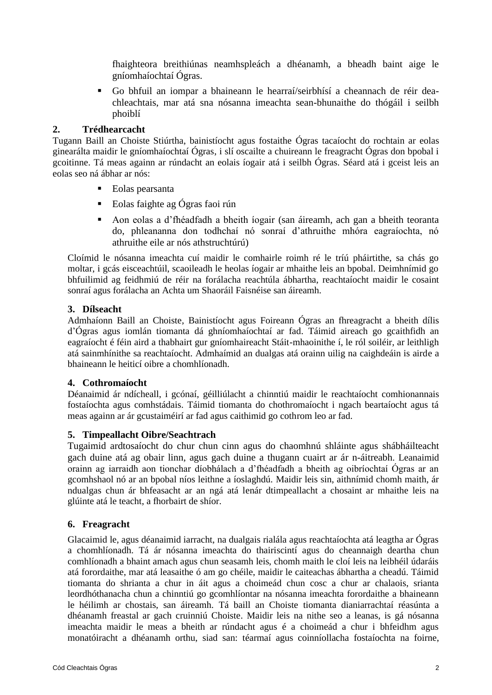fhaighteora breithiúnas neamhspleách a dhéanamh, a bheadh baint aige le gníomhaíochtaí Ógras.

 Go bhfuil an iompar a bhaineann le hearraí/seirbhísí a cheannach de réir deachleachtais, mar atá sna nósanna imeachta sean-bhunaithe do thógáil i seilbh phoiblí

# **2. Trédhearcacht**

Tugann Baill an Choiste Stiúrtha, bainistíocht agus fostaithe Ógras tacaíocht do rochtain ar eolas ginearálta maidir le gníomhaíochtaí Ógras, i slí oscailte a chuireann le freagracht Ógras don bpobal i gcoitinne. Tá meas againn ar rúndacht an eolais íogair atá i seilbh Ógras. Séard atá i gceist leis an eolas seo ná ábhar ar nós:

- Eolas pearsanta
- Eolas faighte ag Ógras faoi rún
- Aon eolas a d'fhéadfadh a bheith íogair (san áireamh, ach gan a bheith teoranta do, phleananna don todhchaí nó sonraí d'athruithe mhóra eagraíochta, nó athruithe eile ar nós athstruchtúrú)

Cloímid le nósanna imeachta cuí maidir le comhairle roimh ré le tríú pháirtithe, sa chás go moltar, i gcás eisceachtúil, scaoileadh le heolas íogair ar mhaithe leis an bpobal. Deimhnímid go bhfuilimid ag feidhmiú de réir na forálacha reachtúla ábhartha, reachtaíocht maidir le cosaint sonraí agus forálacha an Achta um Shaoráil Faisnéise san áireamh.

### **3. Dílseacht**

Admhaíonn Baill an Choiste, Bainistíocht agus Foireann Ógras an fhreagracht a bheith dílis d'Ógras agus iomlán tiomanta dá ghníomhaíochtaí ar fad. Táimid aireach go gcaithfidh an eagraíocht é féin aird a thabhairt gur gníomhaireacht Stáit-mhaoinithe í, le ról soiléir, ar leithligh atá sainmhínithe sa reachtaíocht. Admhaímid an dualgas atá orainn uilig na caighdeáin is airde a bhaineann le heiticí oibre a chomhlíonadh.

### **4. Cothromaíocht**

Déanaimid ár ndícheall, i gcónaí, géilliúlacht a chinntiú maidir le reachtaíocht comhionannais fostaíochta agus comhstádais. Táimid tiomanta do chothromaíocht i ngach beartaíocht agus tá meas againn ar ár gcustaiméirí ar fad agus caithimid go cothrom leo ar fad.

### **5. Timpeallacht Oibre/Seachtrach**

Tugaimid ardtosaíocht do chur chun cinn agus do chaomhnú shláinte agus shábháilteacht gach duine atá ag obair linn, agus gach duine a thugann cuairt ar ár n-áitreabh. Leanaimid orainn ag iarraidh aon tionchar díobhálach a d'fhéadfadh a bheith ag oibríochtaí Ógras ar an gcomhshaol nó ar an bpobal níos leithne a íoslaghdú. Maidir leis sin, aithnímid chomh maith, ár ndualgas chun ár bhfeasacht ar an ngá atá lenár dtimpeallacht a chosaint ar mhaithe leis na glúinte atá le teacht, a fhorbairt de shíor.

### **6. Freagracht**

Glacaimid le, agus déanaimid iarracht, na dualgais rialála agus reachtaíochta atá leagtha ar Ógras a chomhlíonadh. Tá ár nósanna imeachta do thairiscintí agus do cheannaigh deartha chun comhlíonadh a bhaint amach agus chun seasamh leis, chomh maith le cloí leis na leibhéil údaráis atá forordaithe, mar atá leasaithe ó am go chéile, maidir le caiteachas ábhartha a cheadú. Táimid tiomanta do shrianta a chur in áit agus a choimeád chun cosc a chur ar chalaois, srianta leordhóthanacha chun a chinntiú go gcomhlíontar na nósanna imeachta forordaithe a bhaineann le héilimh ar chostais, san áireamh. Tá baill an Choiste tiomanta dianiarrachtaí réasúnta a dhéanamh freastal ar gach cruinniú Choiste. Maidir leis na nithe seo a leanas, is gá nósanna imeachta maidir le meas a bheith ar rúndacht agus é a choimeád a chur i bhfeidhm agus monatóiracht a dhéanamh orthu, siad san: téarmaí agus coinníollacha fostaíochta na foirne,